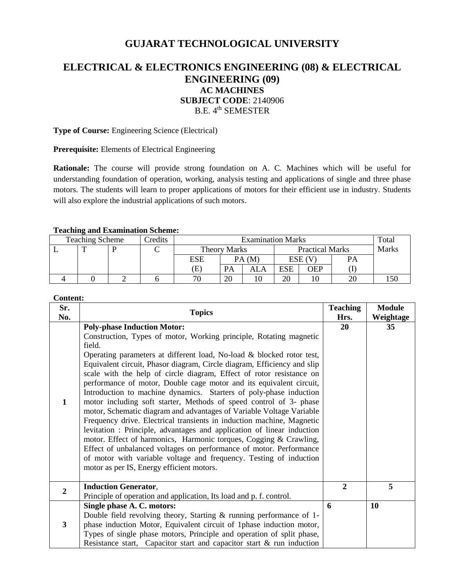# **GUJARAT TECHNOLOGICAL UNIVERSITY**

# **ELECTRICAL & ELECTRONICS ENGINEERING (08) & ELECTRICAL ENGINEERING (09) AC MACHINES SUBJECT CODE**: 2140906 B.E. 4<sup>th</sup> SEMESTER

**Type of Course:** Engineering Science (Electrical)

**Prerequisite:** Elements of Electrical Engineering

**Rationale:** The course will provide strong foundation on A. C. Machines which will be useful for understanding foundation of operation, working, analysis testing and applications of single and three phase motors. The students will learn to proper applications of motors for their efficient use in industry. Students will also explore the industrial applications of such motors.

### **Teaching and Examination Scheme:**

| Credits<br><b>Teaching Scheme</b> |  |  | <b>Examination Marks</b> |              |    |                        |     | Total  |       |     |
|-----------------------------------|--|--|--------------------------|--------------|----|------------------------|-----|--------|-------|-----|
|                                   |  |  |                          | Theory Marks |    | <b>Practical Marks</b> |     |        | Marks |     |
|                                   |  |  |                          | ESE          |    | PA(M)                  |     | ESE (V | PА    |     |
|                                   |  |  |                          | Έ            | PA | ALA                    | ESE | OEP    |       |     |
|                                   |  |  |                          | 70           | 20 |                        | 20  |        |       | .50 |

# **Content:**

| Sr.<br>No.     | <b>Topics</b>                                                                                                                                                                                                                                                                                                                                                                                                                                                                                                                                                                                                                                                                                                                                                                                                                                                                                                                                                                                                                                             | <b>Teaching</b><br>Hrs. | <b>Module</b><br>Weightage |
|----------------|-----------------------------------------------------------------------------------------------------------------------------------------------------------------------------------------------------------------------------------------------------------------------------------------------------------------------------------------------------------------------------------------------------------------------------------------------------------------------------------------------------------------------------------------------------------------------------------------------------------------------------------------------------------------------------------------------------------------------------------------------------------------------------------------------------------------------------------------------------------------------------------------------------------------------------------------------------------------------------------------------------------------------------------------------------------|-------------------------|----------------------------|
| 1              | <b>Poly-phase Induction Motor:</b><br>Construction, Types of motor, Working principle, Rotating magnetic<br>field.<br>Operating parameters at different load, No-load & blocked rotor test,<br>Equivalent circuit, Phasor diagram, Circle diagram, Efficiency and slip<br>scale with the help of circle diagram, Effect of rotor resistance on<br>performance of motor, Double cage motor and its equivalent circuit,<br>Introduction to machine dynamics. Starters of poly-phase induction<br>motor including soft starter, Methods of speed control of 3- phase<br>motor, Schematic diagram and advantages of Variable Voltage Variable<br>Frequency drive. Electrical transients in induction machine, Magnetic<br>levitation: Principle, advantages and application of linear induction<br>motor. Effect of harmonics, Harmonic torques, Cogging & Crawling,<br>Effect of unbalanced voltages on performance of motor. Performance<br>of motor with variable voltage and frequency. Testing of induction<br>motor as per IS, Energy efficient motors. | 20                      | 35                         |
| $\overline{2}$ | <b>Induction Generator,</b><br>Principle of operation and application, Its load and p. f. control.                                                                                                                                                                                                                                                                                                                                                                                                                                                                                                                                                                                                                                                                                                                                                                                                                                                                                                                                                        | $\overline{2}$          | 5                          |
| 3              | Single phase A. C. motors:<br>Double field revolving theory, Starting $\&$ running performance of 1-<br>phase induction Motor, Equivalent circuit of 1phase induction motor,<br>Types of single phase motors, Principle and operation of split phase,<br>Resistance start, Capacitor start and capacitor start & run induction                                                                                                                                                                                                                                                                                                                                                                                                                                                                                                                                                                                                                                                                                                                            | 6                       | <b>10</b>                  |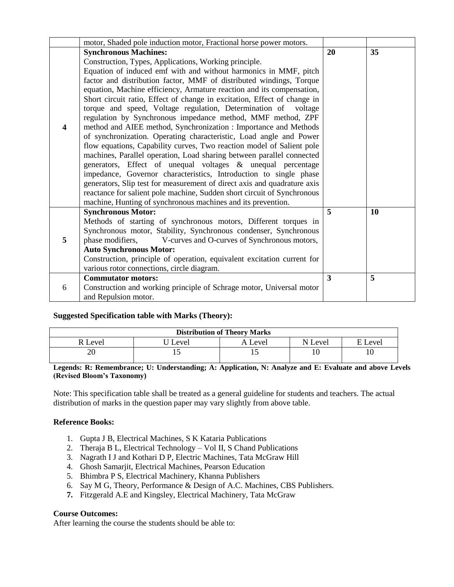|                         | motor, Shaded pole induction motor, Fractional horse power motors.       |    |    |
|-------------------------|--------------------------------------------------------------------------|----|----|
|                         | <b>Synchronous Machines:</b>                                             | 20 | 35 |
|                         | Construction, Types, Applications, Working principle.                    |    |    |
|                         | Equation of induced emf with and without harmonics in MMF, pitch         |    |    |
|                         | factor and distribution factor, MMF of distributed windings, Torque      |    |    |
|                         | equation, Machine efficiency, Armature reaction and its compensation,    |    |    |
|                         | Short circuit ratio, Effect of change in excitation, Effect of change in |    |    |
|                         | torque and speed, Voltage regulation, Determination of voltage           |    |    |
|                         | regulation by Synchronous impedance method, MMF method, ZPF              |    |    |
| $\overline{\mathbf{4}}$ | method and AIEE method, Synchronization : Importance and Methods         |    |    |
|                         | of synchronization. Operating characteristic, Load angle and Power       |    |    |
|                         | flow equations, Capability curves, Two reaction model of Salient pole    |    |    |
|                         | machines, Parallel operation, Load sharing between parallel connected    |    |    |
|                         | generators, Effect of unequal voltages & unequal percentage              |    |    |
|                         | impedance, Governor characteristics, Introduction to single phase        |    |    |
|                         | generators, Slip test for measurement of direct axis and quadrature axis |    |    |
|                         | reactance for salient pole machine, Sudden short circuit of Synchronous  |    |    |
|                         | machine, Hunting of synchronous machines and its prevention.             |    |    |
|                         | <b>Synchronous Motor:</b>                                                | 5  | 10 |
|                         | Methods of starting of synchronous motors, Different torques in          |    |    |
| 5                       | Synchronous motor, Stability, Synchronous condenser, Synchronous         |    |    |
|                         | V-curves and O-curves of Synchronous motors,<br>phase modifiers,         |    |    |
|                         | <b>Auto Synchronous Motor:</b>                                           |    |    |
|                         | Construction, principle of operation, equivalent excitation current for  |    |    |
|                         | various rotor connections, circle diagram.                               |    |    |
|                         | <b>Commutator motors:</b>                                                | 3  | 5  |
| 6                       | Construction and working principle of Schrage motor, Universal motor     |    |    |
|                         | and Repulsion motor.                                                     |    |    |

# **Suggested Specification table with Marks (Theory):**

| <b>Distribution of Theory Marks</b> |       |         |         |         |  |  |  |
|-------------------------------------|-------|---------|---------|---------|--|--|--|
| R Level                             | Level | A Level | N Level | E Level |  |  |  |
| 20                                  |       |         |         | 10      |  |  |  |

**Legends: R: Remembrance; U: Understanding; A: Application, N: Analyze and E: Evaluate and above Levels (Revised Bloom's Taxonomy)**

Note: This specification table shall be treated as a general guideline for students and teachers. The actual distribution of marks in the question paper may vary slightly from above table.

# **Reference Books:**

- 1. Gupta J B, Electrical Machines, S K Kataria Publications
- 2. Theraja B L, Electrical Technology Vol II, S Chand Publications
- 3. Nagrath I J and Kothari D P, Electric Machines, Tata McGraw Hill
- 4. Ghosh Samarjit, Electrical Machines, Pearson Education
- 5. Bhimbra P S, Electrical Machinery, Khanna Publishers
- 6. Say M G, Theory, Performance & Design of A.C. Machines, CBS Publishers.
- **7.** Fitzgerald A.E and Kingsley, Electrical Machinery, Tata McGraw

# **Course Outcomes:**

After learning the course the students should be able to: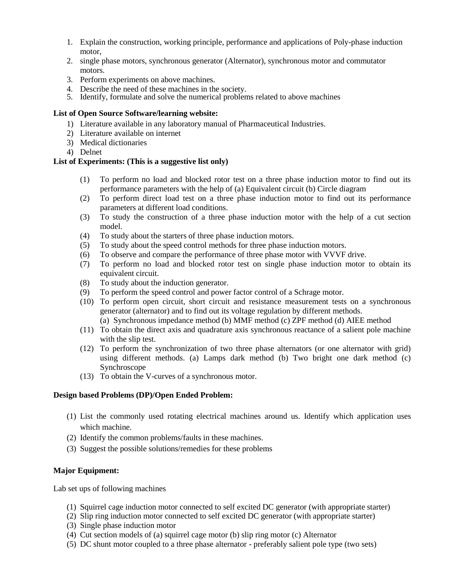- 1. Explain the construction, working principle, performance and applications of Poly-phase induction motor,
- 2. single phase motors, synchronous generator (Alternator), synchronous motor and commutator motors.
- 3. Perform experiments on above machines.
- 4. Describe the need of these machines in the society.
- 5. Identify, formulate and solve the numerical problems related to above machines

#### **List of Open Source Software/learning website:**

- 1) Literature available in any laboratory manual of Pharmaceutical Industries.
- 2) Literature available on internet
- 3) Medical dictionaries
- 4) Delnet

### **List of Experiments: (This is a suggestive list only)**

- (1) To perform no load and blocked rotor test on a three phase induction motor to find out its performance parameters with the help of (a) Equivalent circuit (b) Circle diagram
- (2) To perform direct load test on a three phase induction motor to find out its performance parameters at different load conditions.
- (3) To study the construction of a three phase induction motor with the help of a cut section model.
- (4) To study about the starters of three phase induction motors.
- (5) To study about the speed control methods for three phase induction motors.
- (6) To observe and compare the performance of three phase motor with VVVF drive.
- (7) To perform no load and blocked rotor test on single phase induction motor to obtain its equivalent circuit.
- (8) To study about the induction generator.
- (9) To perform the speed control and power factor control of a Schrage motor.
- (10) To perform open circuit, short circuit and resistance measurement tests on a synchronous generator (alternator) and to find out its voltage regulation by different methods.
	- (a) Synchronous impedance method (b) MMF method (c) ZPF method (d) AIEE method
- (11) To obtain the direct axis and quadrature axis synchronous reactance of a salient pole machine with the slip test.
- (12) To perform the synchronization of two three phase alternators (or one alternator with grid) using different methods. (a) Lamps dark method (b) Two bright one dark method (c) Synchroscope
- (13) To obtain the V-curves of a synchronous motor.

## **Design based Problems (DP)/Open Ended Problem:**

- (1) List the commonly used rotating electrical machines around us. Identify which application uses which machine.
- (2) Identify the common problems/faults in these machines.
- (3) Suggest the possible solutions/remedies for these problems

# **Major Equipment:**

Lab set ups of following machines

- (1) Squirrel cage induction motor connected to self excited DC generator (with appropriate starter)
- (2) Slip ring induction motor connected to self excited DC generator (with appropriate starter)
- (3) Single phase induction motor
- (4) Cut section models of (a) squirrel cage motor (b) slip ring motor (c) Alternator
- (5) DC shunt motor coupled to a three phase alternator preferably salient pole type (two sets)